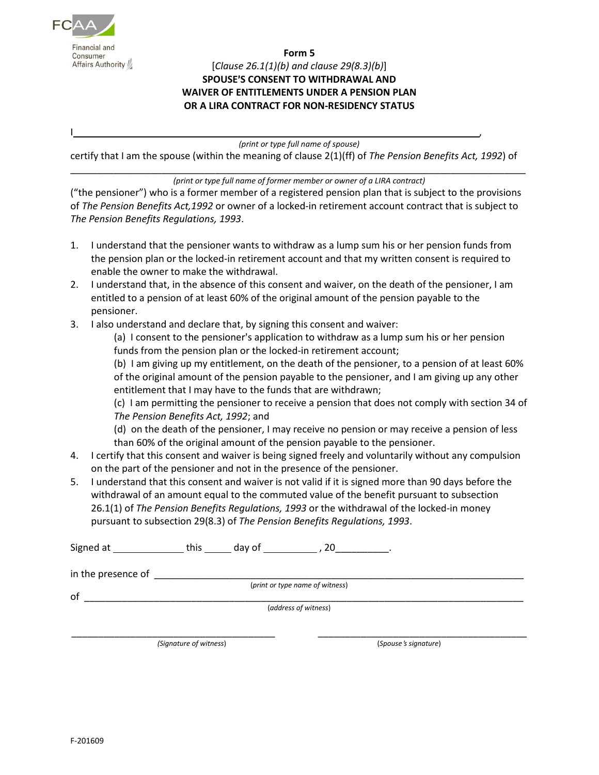

## **Form 5** [*Clause 26.1(1)(b) and clause 29(8.3)(b)*] **SPOUSE'S CONSENT TO WITHDRAWAL AND WAIVER OF ENTITLEMENTS UNDER A PENSION PLAN OR A LIRA CONTRACT FOR NON-RESIDENCY STATUS**

*(print or type full name of spouse)*

I ,

certify that I am the spouse (within the meaning of clause 2(1)(ff) of *The Pension Benefits Act, 1992*) of

## \_\_\_\_\_\_\_\_\_\_\_\_\_\_\_\_\_\_\_\_\_\_\_\_\_\_\_\_\_\_\_\_\_\_\_\_\_\_\_\_\_\_\_\_\_\_\_\_\_\_\_\_\_\_\_\_\_\_\_\_\_\_\_\_\_\_\_\_\_\_\_\_\_\_\_\_\_\_\_\_\_\_\_\_\_ *(print or type full name of former member or owner of a LIRA contract)*

("the pensioner") who is a former member of a registered pension plan that is subject to the provisions of *The Pension Benefits Act,1992* or owner of a locked-in retirement account contract that is subject to *The Pension Benefits Regulations, 1993*.

- 1. I understand that the pensioner wants to withdraw as a lump sum his or her pension funds from the pension plan or the locked-in retirement account and that my written consent is required to enable the owner to make the withdrawal.
- 2. I understand that, in the absence of this consent and waiver, on the death of the pensioner, I am entitled to a pension of at least 60% of the original amount of the pension payable to the pensioner.
- 3. I also understand and declare that, by signing this consent and waiver:

(a) I consent to the pensioner's application to withdraw as a lump sum his or her pension funds from the pension plan or the locked-in retirement account;

(b) I am giving up my entitlement, on the death of the pensioner, to a pension of at least 60% of the original amount of the pension payable to the pensioner, and I am giving up any other entitlement that I may have to the funds that are withdrawn;

(c) I am permitting the pensioner to receive a pension that does not comply with section 34 of *The Pension Benefits Act, 1992*; and

(d) on the death of the pensioner, I may receive no pension or may receive a pension of less than 60% of the original amount of the pension payable to the pensioner.

- 4. I certify that this consent and waiver is being signed freely and voluntarily without any compulsion on the part of the pensioner and not in the presence of the pensioner.
- 5. I understand that this consent and waiver is not valid if it is signed more than 90 days before the withdrawal of an amount equal to the commuted value of the benefit pursuant to subsection 26.1(1) of *The Pension Benefits Regulations, 1993* or the withdrawal of the locked-in money pursuant to subsection 29(8.3) of *The Pension Benefits Regulations, 1993*.

| Signed at          | this | day of | 20                              |  |
|--------------------|------|--------|---------------------------------|--|
| in the presence of |      |        |                                 |  |
|                    |      |        | (print or type name of witness) |  |
| of                 |      |        | (address of witness)            |  |
|                    |      |        |                                 |  |

*(Signature of witness*) (*Spouse*=*s signature*)